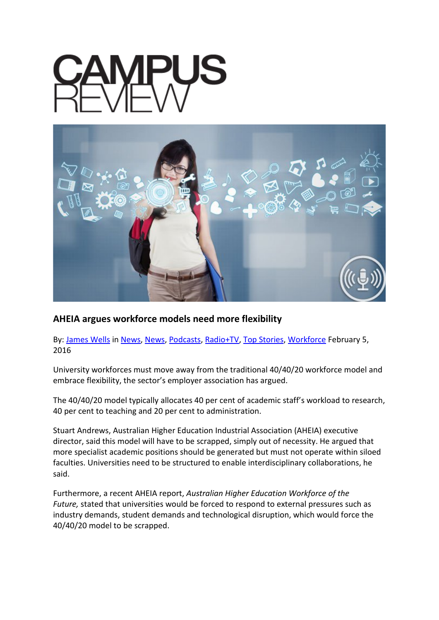

## **AHEIA argues workforce models need more flexibility**

By: [James Wells](http://www.campusreview.com.au/author/jameswells/) in [News,](http://www.campusreview.com.au/category/radiotv/podcastnews/) News, [Podcasts,](http://www.campusreview.com.au/category/radiotv/podcasts/) [Radio+TV,](http://www.campusreview.com.au/category/radiotv/) [Top Stories,](http://www.campusreview.com.au/category/top-stories/) [Workforce](http://www.campusreview.com.au/category/workforce-2/) February 5, 2016

University workforces must move away from the traditional 40/40/20 workforce model and embrace flexibility, the sector's employer association has argued.

The 40/40/20 model typically allocates 40 per cent of academic staff's workload to research, 40 per cent to teaching and 20 per cent to administration.

Stuart Andrews, Australian Higher Education Industrial Association (AHEIA) executive director, said this model will have to be scrapped, simply out of necessity. He argued that more specialist academic positions should be generated but must not operate within siloed faculties. Universities need to be structured to enable interdisciplinary collaborations, he said.

Furthermore, a recent AHEIA report, *Australian Higher Education Workforce of the Future,* stated that universities would be forced to respond to external pressures such as industry demands, student demands and technological disruption, which would force the 40/40/20 model to be scrapped.